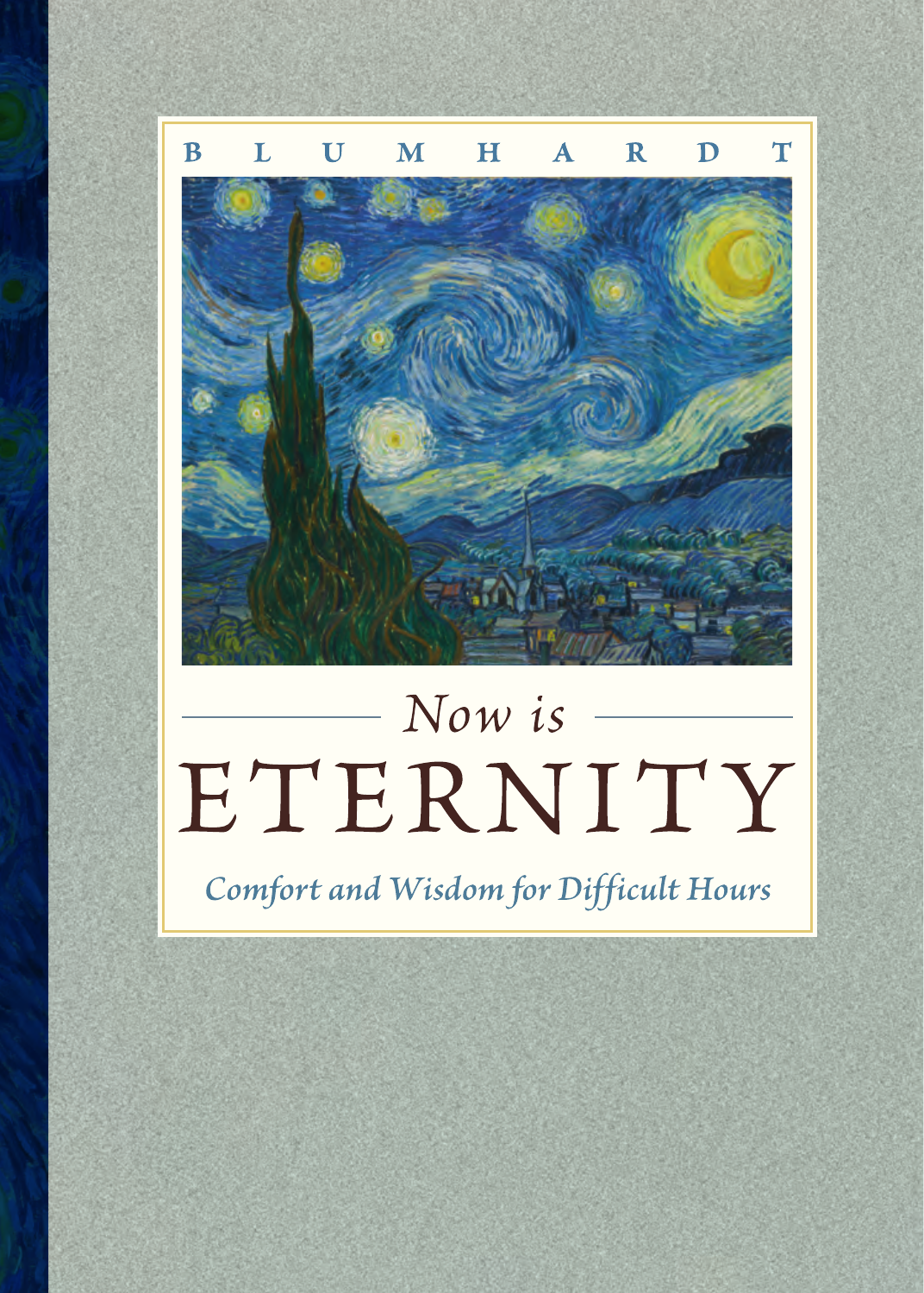

# Now is ETERNITY

Comfort and Wisdom for Difficult Hours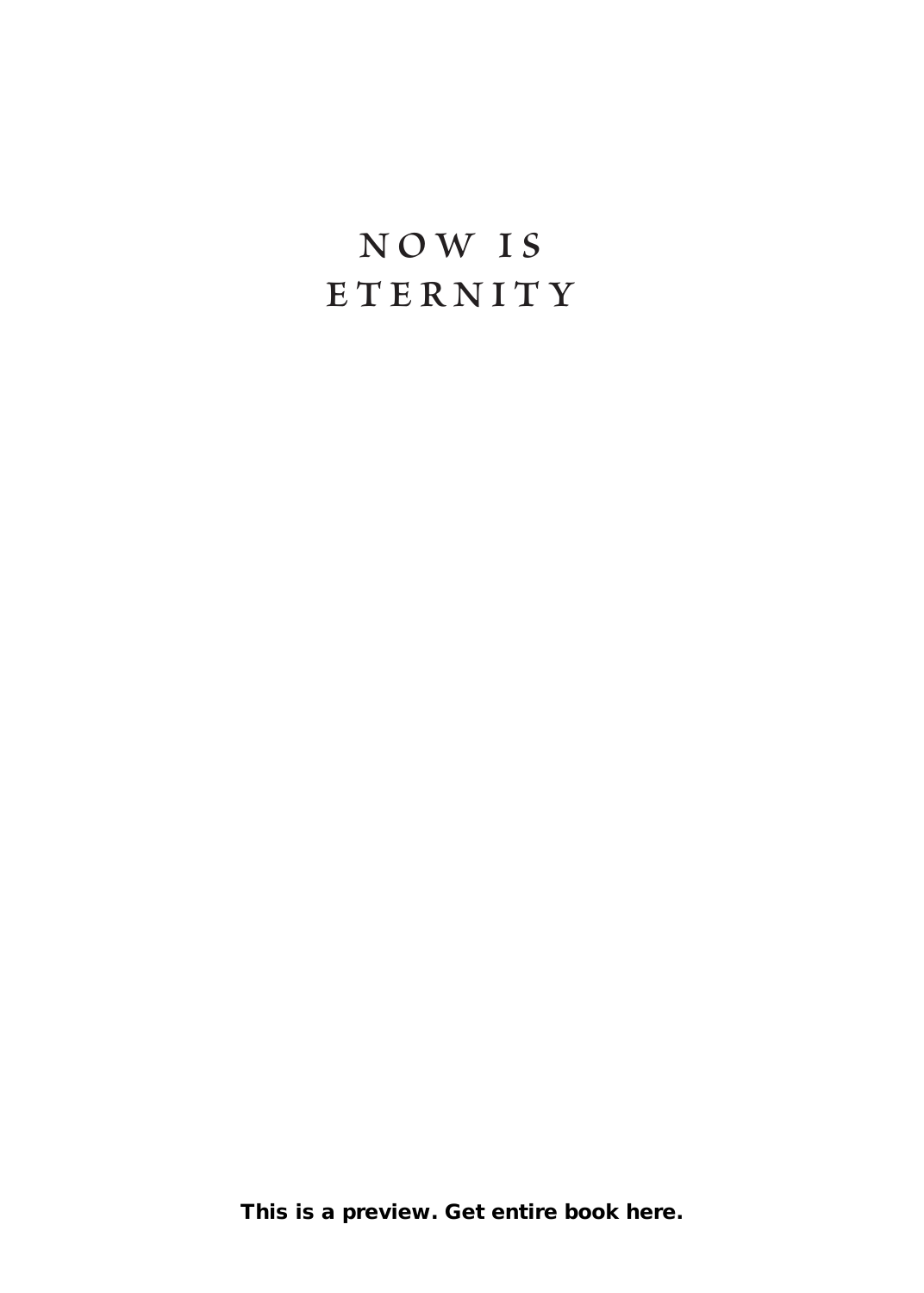### **NOW is E T e r n i T y**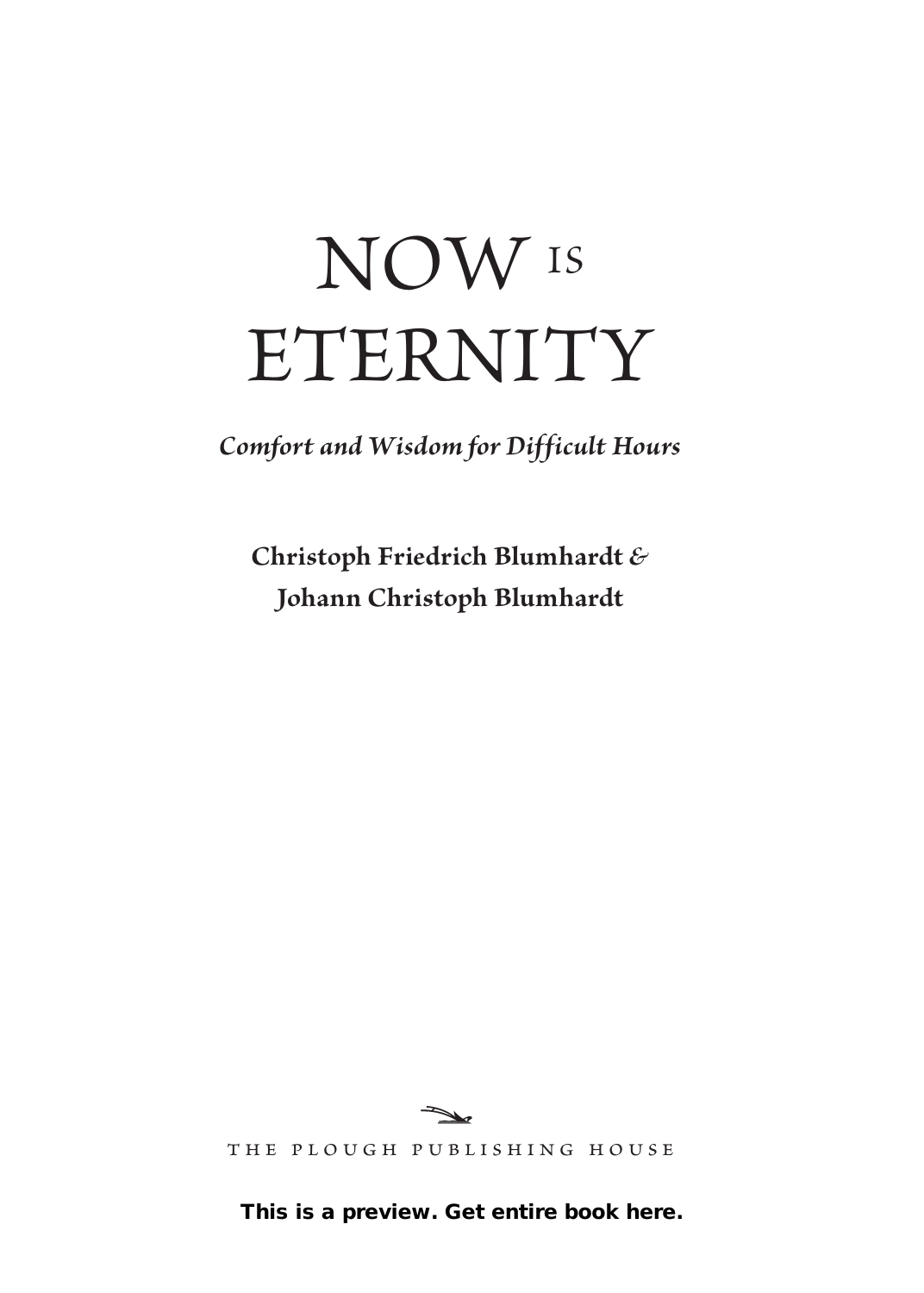# NOW IS ETERNITY

*Comfort and Wisdom for Difficult Hours*

**Christoph Friedrich Blumhardt** *&* **Johann Christoph Blumhardt**



the plough publishing house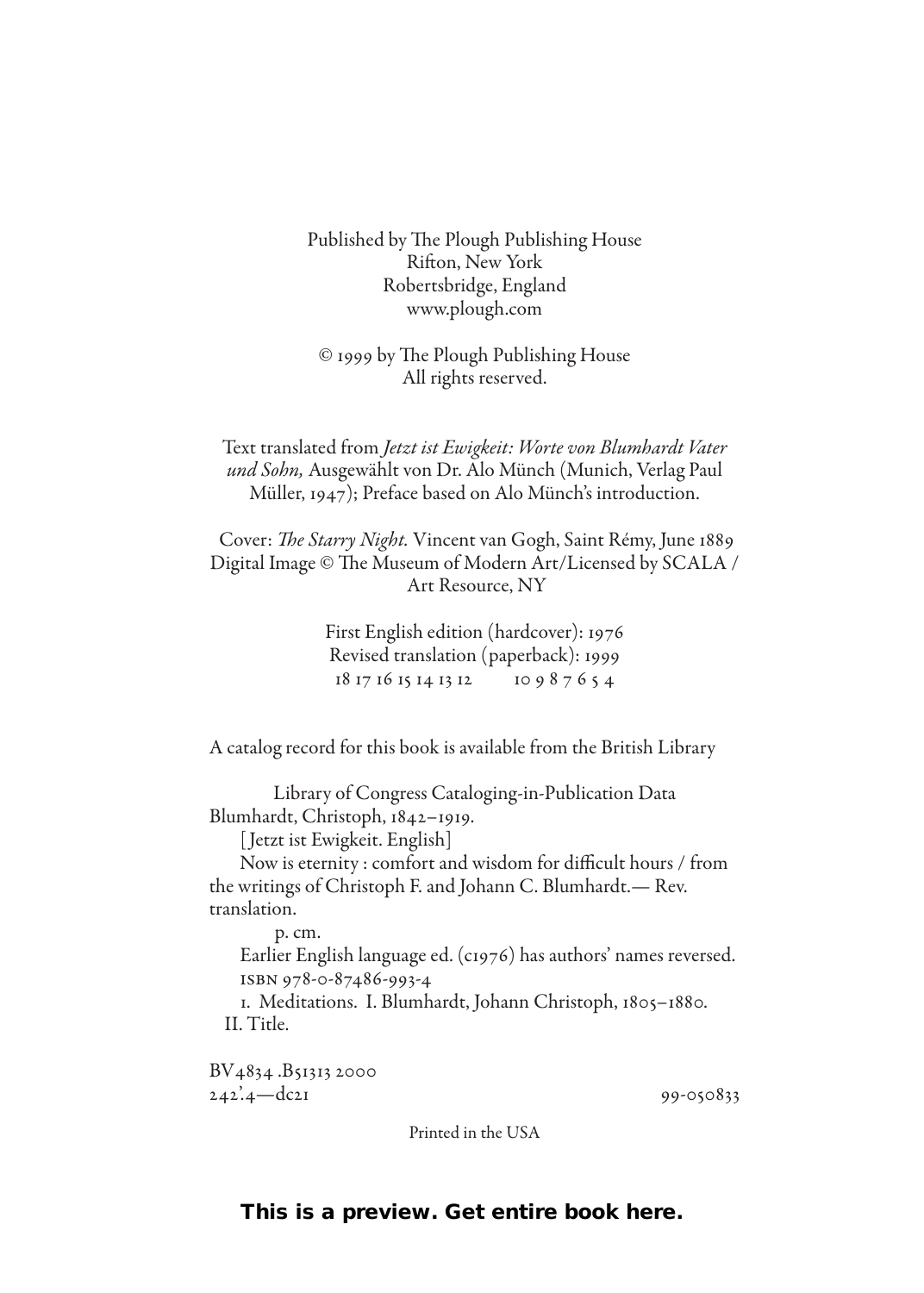Published by The Plough Publishing House Rifton, New York Robertsbridge, England www.plough.com

© 1999 by The Plough Publishing House All rights reserved.

Text translated from *Jetzt ist Ewigkeit: Worte von Blumhardt Vater und Sohn,* Ausgewählt von Dr. Alo Münch (Munich, Verlag Paul Müller, 1947); Preface based on Alo Münch's introduction.

 Cover: *The Starry Night.* Vincent van Gogh, Saint Rémy, June 1889 Digital Image © The Museum of Modern Art/Licensed by SCALA / Art Resource, NY

> First English edition (hardcover): 1976 Revised translation (paperback): 1999 18 17 16 15 14 13 12 10 9 8 7 6 5 4

A catalog record for this book is available from the British Library

Library of Congress Cataloging-in-Publication Data Blumhardt, Christoph, 1842–1919.

[ Jetzt ist Ewigkeit. English]

Now is eternity : comfort and wisdom for difficult hours / from the writings of Christoph F. and Johann C. Blumhardt.— Rev. translation.

p. cm.

Earlier English language ed. (c1976) has authors' names reversed. isbn 978-0-87486-993-4

1. Meditations. I. Blumhardt, Johann Christoph, 1805–1880. II. Title.

BV4834 .B51313 2000 242'.4—dc21 99-050833

Printed in the USA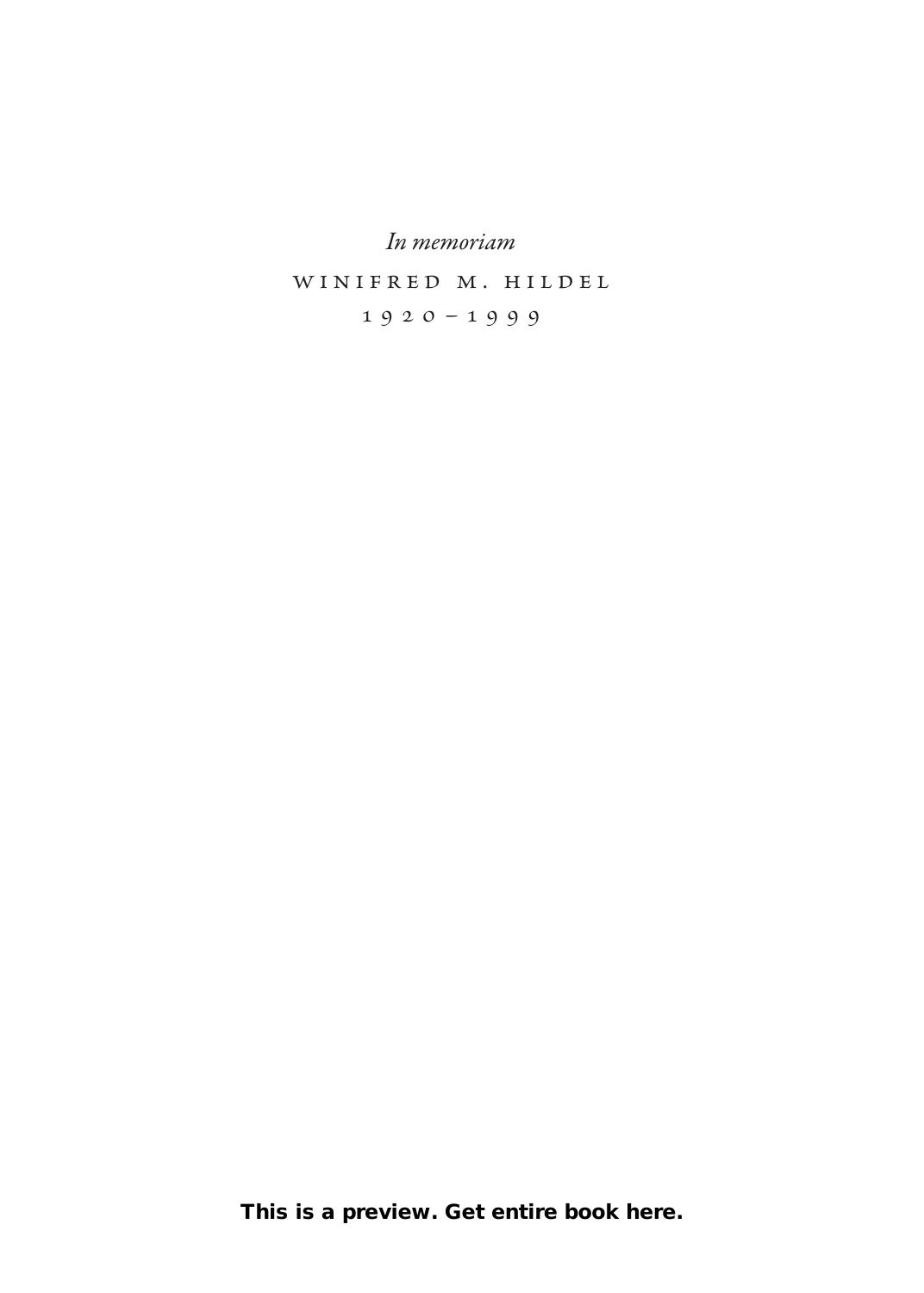*In memoriam*

winifred m. hildel

1920–1999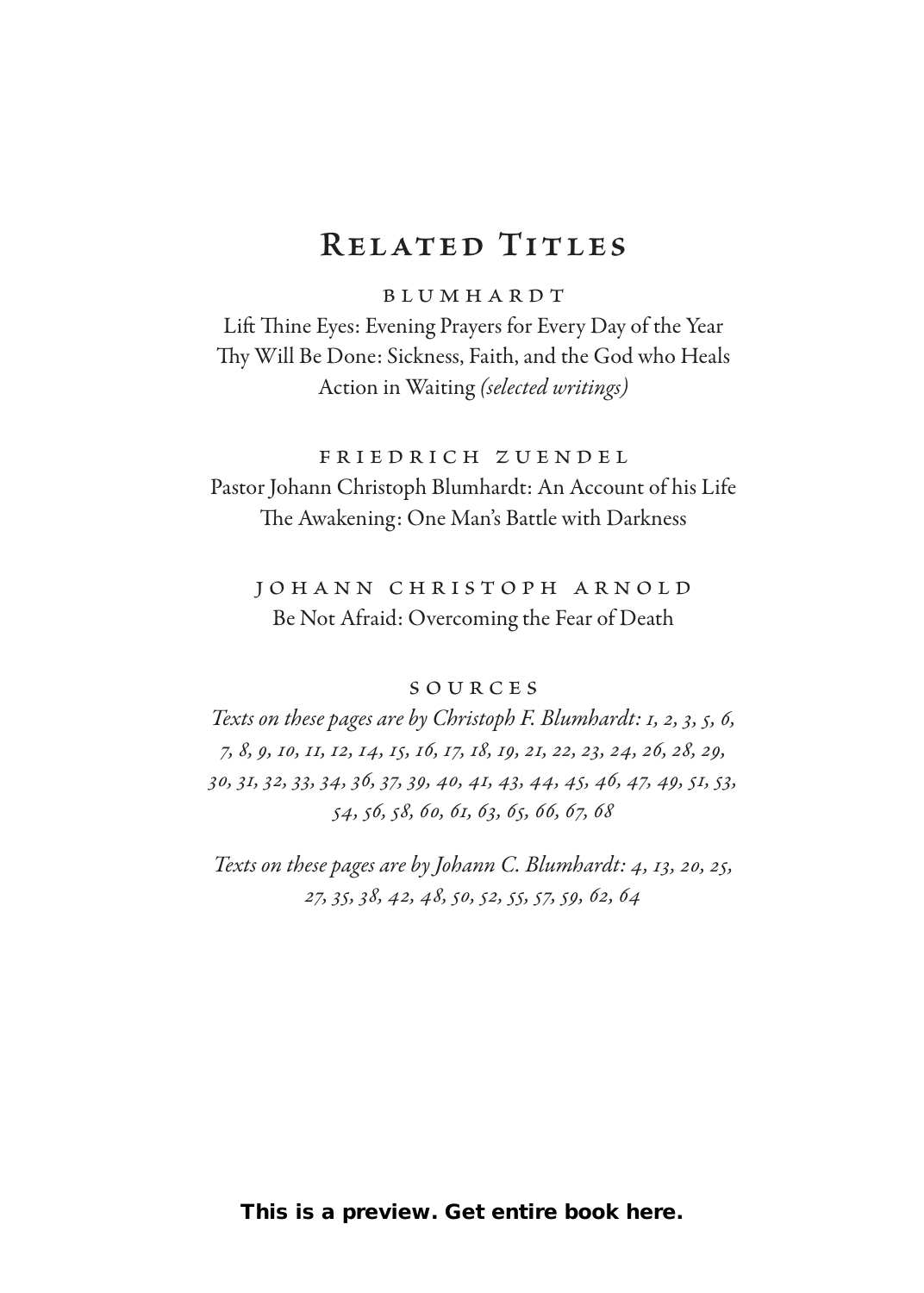#### **Related Titles**

blumhardt

Lift Thine Eyes: Evening Prayers for Every Day of the Year Thy Will Be Done: Sickness, Faith, and the God who Heals Action in Waiting *(selected writings)*

friedrich zuendel Pastor Johann Christoph Blumhardt: An Account of his Life The Awakening: One Man's Battle with Darkness

johann christoph arnold Be Not Afraid: Overcoming the Fear of Death

#### sources

*Texts on these pages are by Christoph F. Blumhardt: 1, 2, 3, 5, 6, 7, 8, 9, 10, 11, 12, 14, 15, 16, 17, 18, 19, 21, 22, 23, 24, 26, 28, 29, 30, 31, 32, 33, 34, 36, 37, 39, 40, 41, 43, 44, 45, 46, 47, 49, 51, 53, 54, 56, 58, 60, 61, 63, 65, 66, 67, 68*

*Texts on these pages are by Johann C. Blumhardt: 4, 13, 20, 25, 27, 35, 38, 42, 48, 50, 52, 55, 57, 59, 62, 64*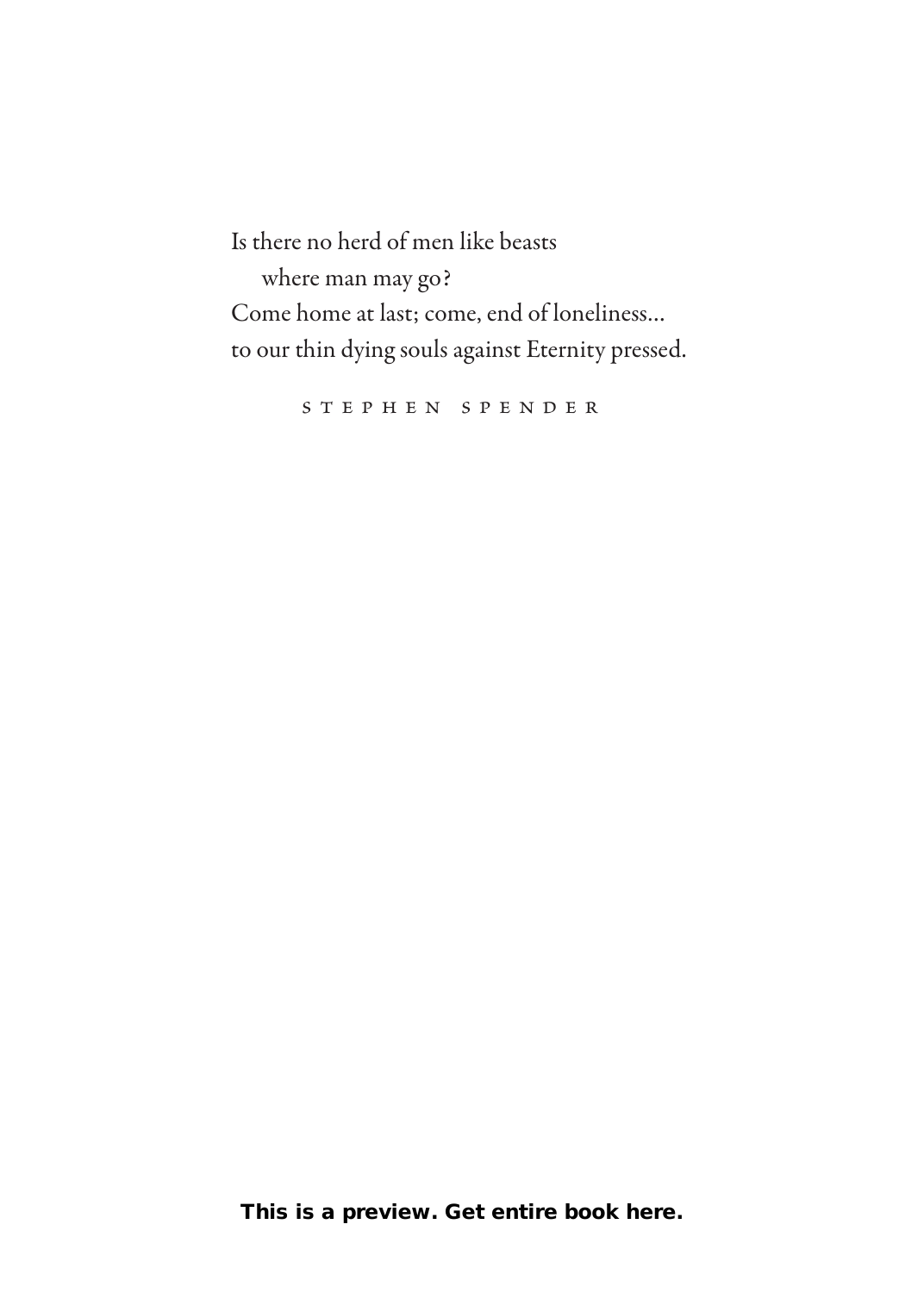Is there no herd of men like beasts where man may go? Come home at last; come, end of loneliness… to our thin dying souls against Eternity pressed.

stephen spender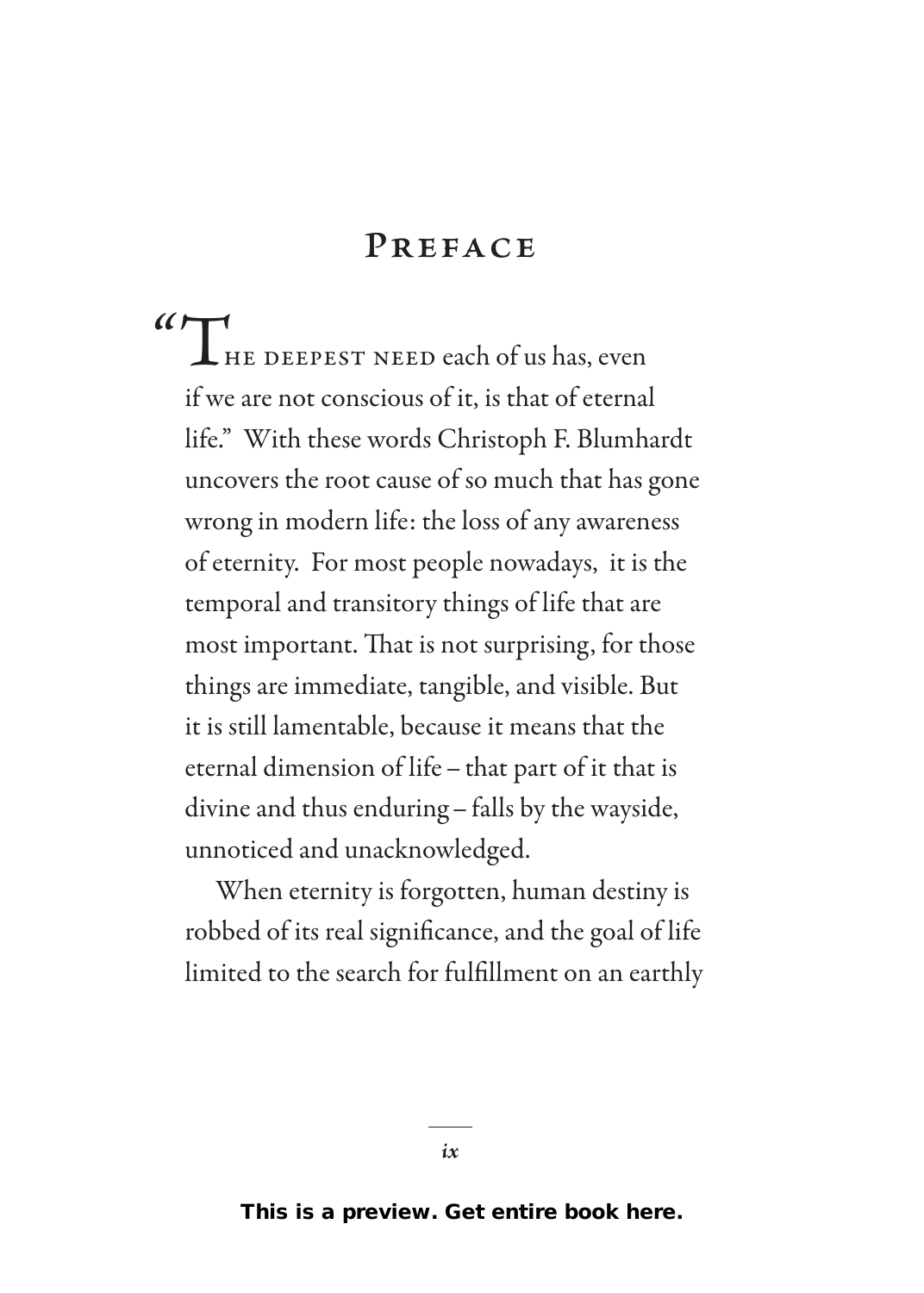#### **Preface**

**"THE DEEPEST NEED each of us has, even** if we are not conscious of it, is that of eternal life." With these words Christoph F. Blumhardt uncovers the root cause of so much that has gone wrong in modern life: the loss of any awareness of eternity. For most people nowadays, it is the temporal and transitory things of life that are most important. That is not surprising, for those things are immediate, tangible, and visible. But it is still lamentable, because it means that the eternal dimension of life–that part of it that is divine and thus enduring–falls by the wayside, unnoticed and unacknowledged.

When eternity is forgotten, human destiny is robbed of its real significance, and the goal of life limited to the search for fulfillment on an earthly

*ix*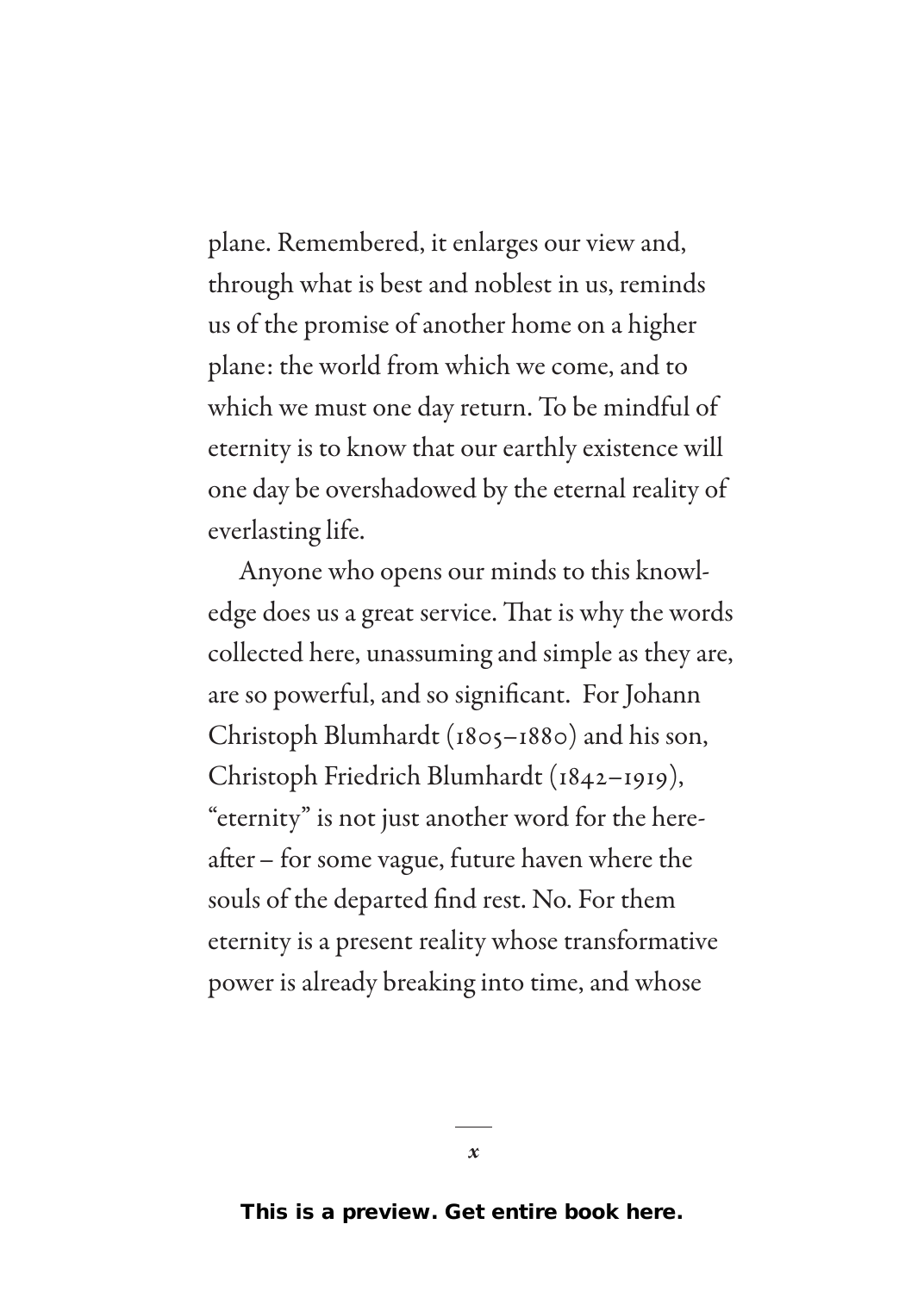plane. Remembered, it enlarges our view and, through what is best and noblest in us, reminds us of the promise of another home on a higher plane: the world from which we come, and to which we must one day return. To be mindful of eternity is to know that our earthly existence will one day be overshadowed by the eternal reality of everlasting life.

Anyone who opens our minds to this knowledge does us a great service. That is why the words collected here, unassuming and simple as they are, are so powerful, and so significant. For Johann Christoph Blumhardt (1805–1880) and his son, Christoph Friedrich Blumhardt (1842–1919), "eternity" is not just another word for the hereafter– for some vague, future haven where the souls of the departed find rest. No. For them eternity is a present reality whose transformative power is already breaking into time, and whose

*x*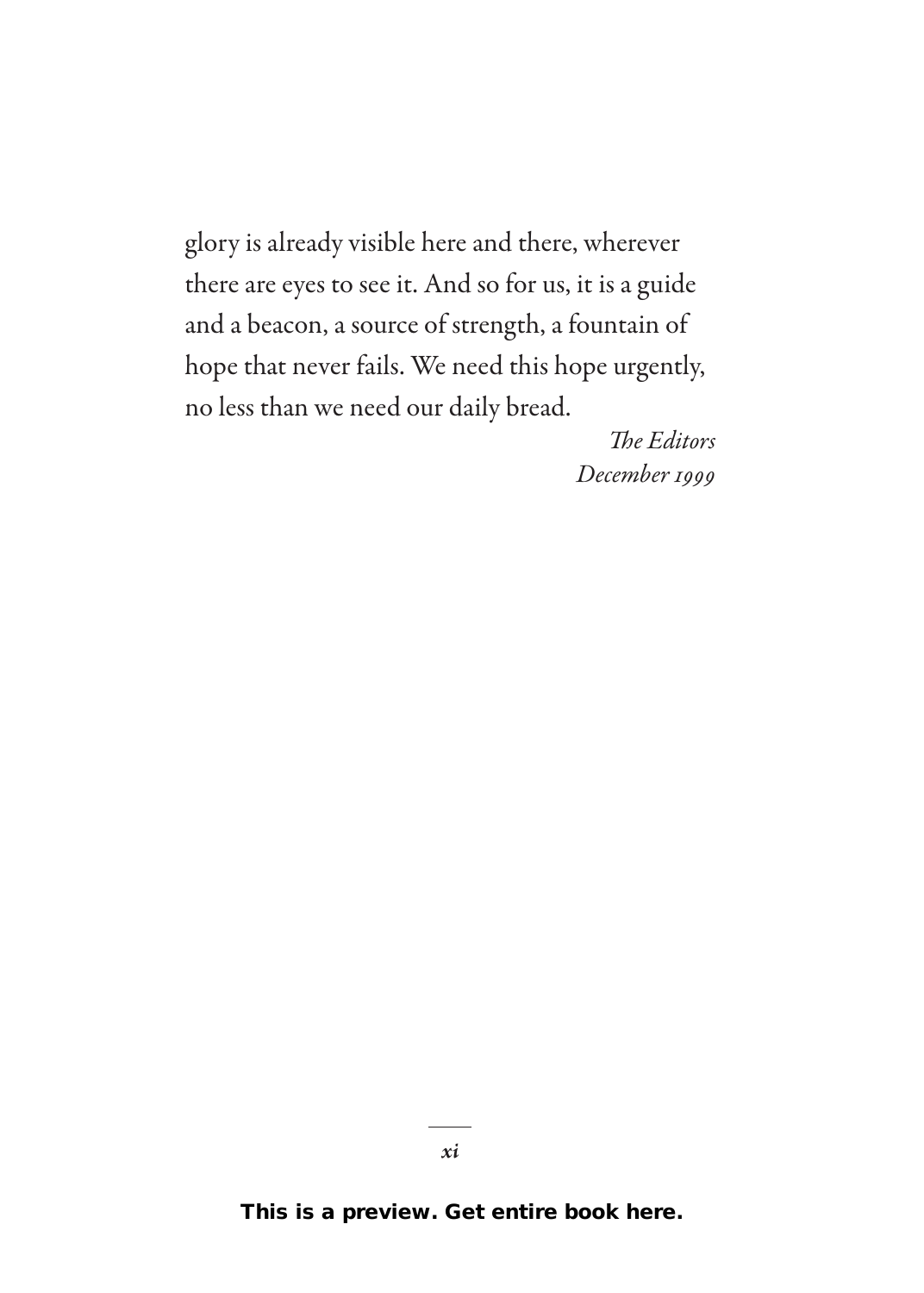glory is already visible here and there, wherever there are eyes to see it. And so for us, it is a guide and a beacon, a source of strength, a fountain of hope that never fails. We need this hope urgently, no less than we need our daily bread.

> *The Editors December 1999*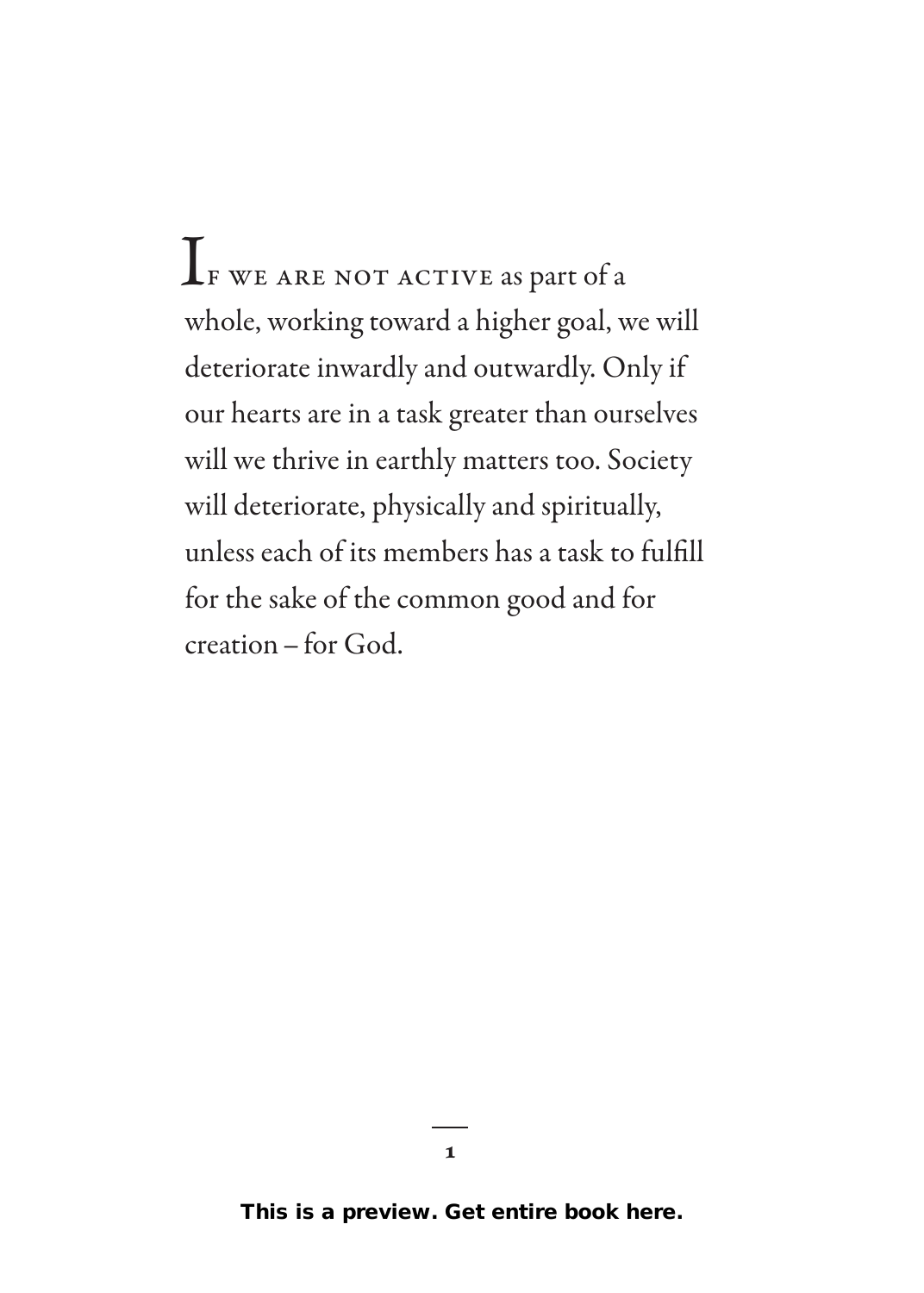$\mathbf{I}_{\text{\tiny{F}}}$  we are not active as part of a whole, working toward a higher goal, we will deteriorate inwardly and outwardly. Only if our hearts are in a task greater than ourselves will we thrive in earthly matters too. Society will deteriorate, physically and spiritually, unless each of its members has a task to fulfill for the sake of the common good and for creation–for God.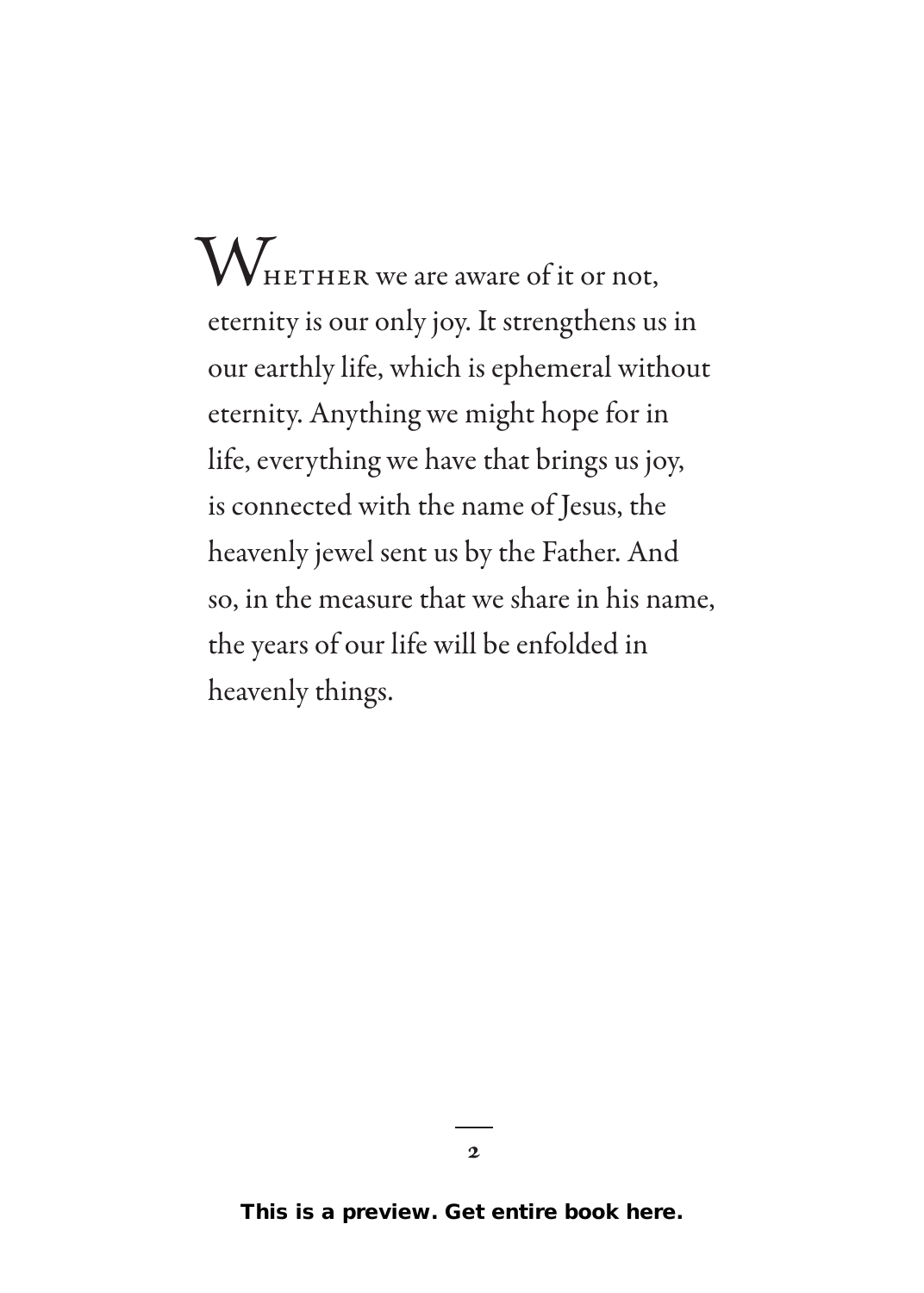$\rm W_{\rm HETHER\,we\,are\,aware\,of\,it\,or\,not,}$ eternity is our only joy. It strengthens us in our earthly life, which is ephemeral without eternity. Anything we might hope for in life, everything we have that brings us joy, is connected with the name of Jesus, the heavenly jewel sent us by the Father. And so, in the measure that we share in his name, the years of our life will be enfolded in heavenly things.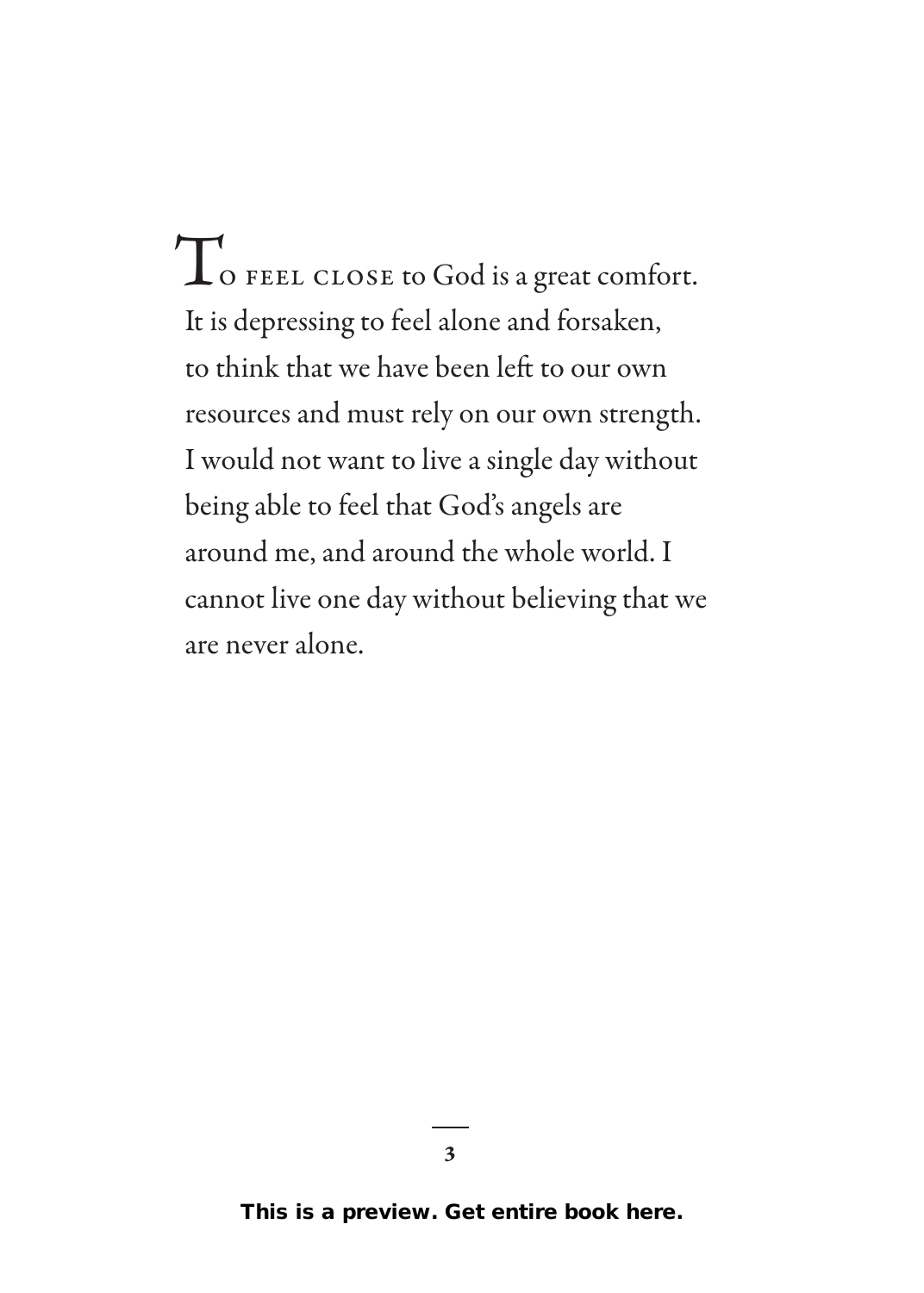$\Gamma_{\rm o}$  FEEL CLOSE to God is a great comfort. It is depressing to feel alone and forsaken, to think that we have been left to our own resources and must rely on our own strength. I would not want to live a single day without being able to feel that God's angels are around me, and around the whole world. I cannot live one day without believing that we are never alone.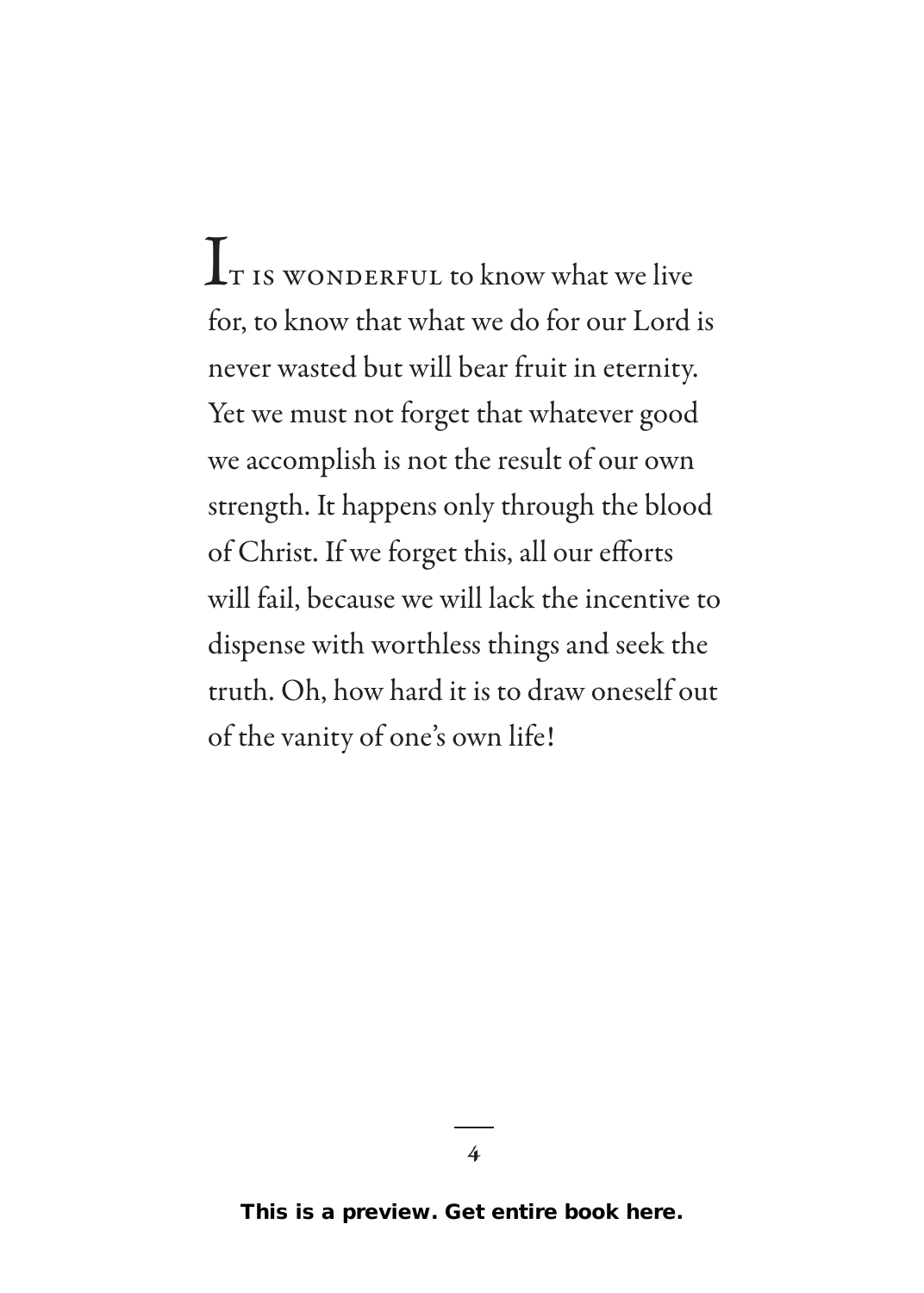$\mathbf{I}_{\text{t}}$  is wonderful to know what we live for, to know that what we do for our Lord is never wasted but will bear fruit in eternity. Yet we must not forget that whatever good we accomplish is not the result of our own strength. It happens only through the blood of Christ. If we forget this, all our efforts will fail, because we will lack the incentive to dispense with worthless things and seek the truth. Oh, how hard it is to draw oneself out of the vanity of one's own life!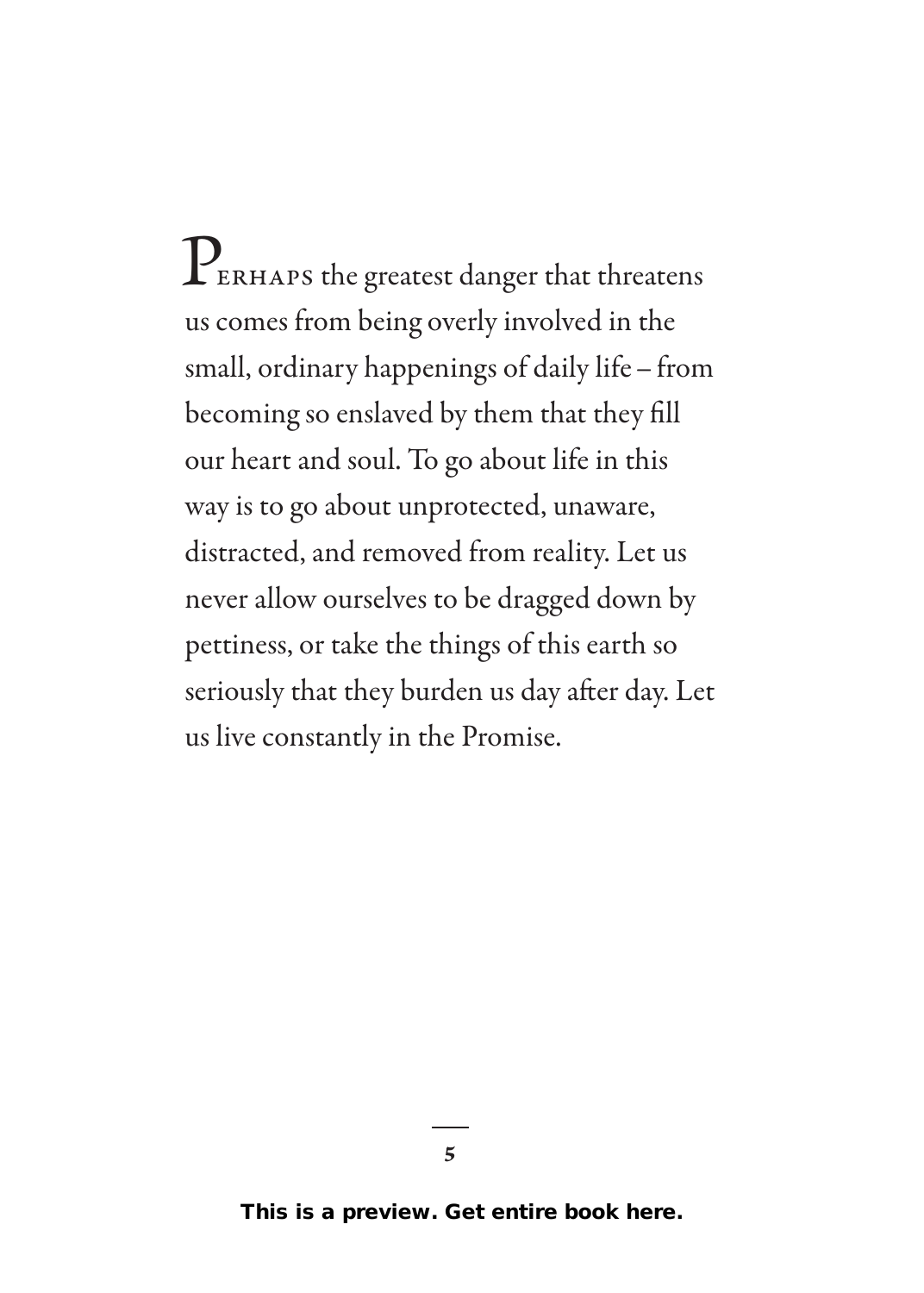$\mathbf{P}_{\text{\tiny{ERHAPS}}}$  the greatest danger that threatens us comes from being overly involved in the small, ordinary happenings of daily life–from becoming so enslaved by them that they fill our heart and soul. To go about life in this way is to go about unprotected, unaware, distracted, and removed from reality. Let us never allow ourselves to be dragged down by pettiness, or take the things of this earth so seriously that they burden us day after day. Let us live constantly in the Promise.